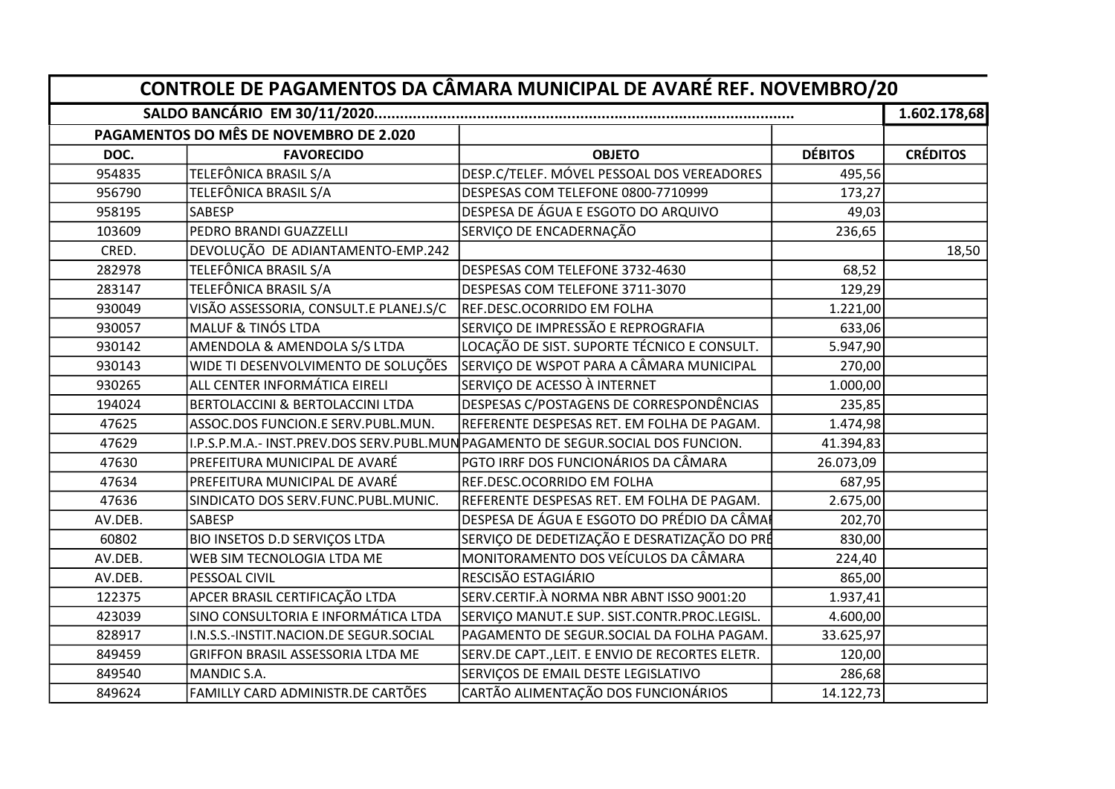|         | PAGAMENTOS DO MÊS DE NOVEMBRO DE 2.020 |                                                                                  |                |                 |
|---------|----------------------------------------|----------------------------------------------------------------------------------|----------------|-----------------|
| DOC.    | <b>FAVORECIDO</b>                      | <b>OBJETO</b>                                                                    | <b>DÉBITOS</b> | <b>CRÉDITOS</b> |
| 954835  | TELEFÔNICA BRASIL S/A                  | DESP.C/TELEF. MÓVEL PESSOAL DOS VEREADORES                                       | 495,56         |                 |
| 956790  | TELEFÔNICA BRASIL S/A                  | DESPESAS COM TELEFONE 0800-7710999                                               | 173,27         |                 |
| 958195  | <b>SABESP</b>                          | DESPESA DE ÁGUA E ESGOTO DO ARQUIVO                                              | 49,03          |                 |
| 103609  | PEDRO BRANDI GUAZZELLI                 | SERVIÇO DE ENCADERNAÇÃO                                                          | 236,65         |                 |
| CRED.   | DEVOLUÇÃO DE ADIANTAMENTO-EMP.242      |                                                                                  |                | 18,50           |
| 282978  | TELEFÔNICA BRASIL S/A                  | DESPESAS COM TELEFONE 3732-4630                                                  | 68,52          |                 |
| 283147  | TELEFÔNICA BRASIL S/A                  | DESPESAS COM TELEFONE 3711-3070                                                  | 129,29         |                 |
| 930049  | VISÃO ASSESSORIA, CONSULT.E PLANEJ.S/C | REF.DESC.OCORRIDO EM FOLHA                                                       | 1.221,00       |                 |
| 930057  | <b>MALUF &amp; TINÓS LTDA</b>          | SERVIÇO DE IMPRESSÃO E REPROGRAFIA                                               | 633,06         |                 |
| 930142  | AMENDOLA & AMENDOLA S/S LTDA           | LOCAÇÃO DE SIST. SUPORTE TÉCNICO E CONSULT.                                      | 5.947,90       |                 |
| 930143  | WIDE TI DESENVOLVIMENTO DE SOLUÇÕES    | SERVIÇO DE WSPOT PARA A CÂMARA MUNICIPAL                                         | 270,00         |                 |
| 930265  | ALL CENTER INFORMÁTICA EIRELI          | SERVIÇO DE ACESSO À INTERNET                                                     | 1.000,00       |                 |
| 194024  | BERTOLACCINI & BERTOLACCINI LTDA       | DESPESAS C/POSTAGENS DE CORRESPONDÊNCIAS                                         | 235,85         |                 |
| 47625   | ASSOC.DOS FUNCION.E SERV.PUBL.MUN.     | REFERENTE DESPESAS RET. EM FOLHA DE PAGAM.                                       | 1.474,98       |                 |
| 47629   |                                        | I.P.S.P.M.A.- INST.PREV.DOS SERV.PUBL.MUN PAGAMENTO DE SEGUR.SOCIAL DOS FUNCION. | 41.394,83      |                 |
| 47630   | PREFEITURA MUNICIPAL DE AVARÉ          | PGTO IRRF DOS FUNCIONÁRIOS DA CÂMARA                                             | 26.073,09      |                 |
| 47634   | PREFEITURA MUNICIPAL DE AVARÉ          | REF.DESC.OCORRIDO EM FOLHA                                                       | 687,95         |                 |
| 47636   | SINDICATO DOS SERV.FUNC.PUBL.MUNIC.    | REFERENTE DESPESAS RET. EM FOLHA DE PAGAM.                                       | 2.675,00       |                 |
| AV.DEB. | <b>SABESP</b>                          | DESPESA DE ÁGUA E ESGOTO DO PRÉDIO DA CÂMAI                                      | 202,70         |                 |
| 60802   | <b>BIO INSETOS D.D SERVIÇOS LTDA</b>   | SERVIÇO DE DEDETIZAÇÃO E DESRATIZAÇÃO DO PRÉ                                     | 830,00         |                 |
| AV.DEB. | WEB SIM TECNOLOGIA LTDA ME             | MONITORAMENTO DOS VEÍCULOS DA CÂMARA                                             | 224,40         |                 |
| AV.DEB. | PESSOAL CIVIL                          | RESCISÃO ESTAGIÁRIO                                                              | 865,00         |                 |
| 122375  | APCER BRASIL CERTIFICAÇÃO LTDA         | SERV.CERTIF.À NORMA NBR ABNT ISSO 9001:20                                        | 1.937,41       |                 |
| 423039  | SINO CONSULTORIA E INFORMÁTICA LTDA    | SERVIÇO MANUT.E SUP. SIST.CONTR.PROC.LEGISL.                                     | 4.600,00       |                 |
| 828917  | I.N.S.S.-INSTIT.NACION.DE SEGUR.SOCIAL | PAGAMENTO DE SEGUR.SOCIAL DA FOLHA PAGAM.                                        | 33.625,97      |                 |
| 849459  | GRIFFON BRASIL ASSESSORIA LTDA ME      | SERV.DE CAPT., LEIT. E ENVIO DE RECORTES ELETR.                                  | 120,00         |                 |
| 849540  | MANDIC S.A.                            | SERVIÇOS DE EMAIL DESTE LEGISLATIVO                                              | 286,68         |                 |
| 849624  | FAMILLY CARD ADMINISTR.DE CARTÕES      | CARTÃO ALIMENTAÇÃO DOS FUNCIONÁRIOS                                              | 14.122,73      |                 |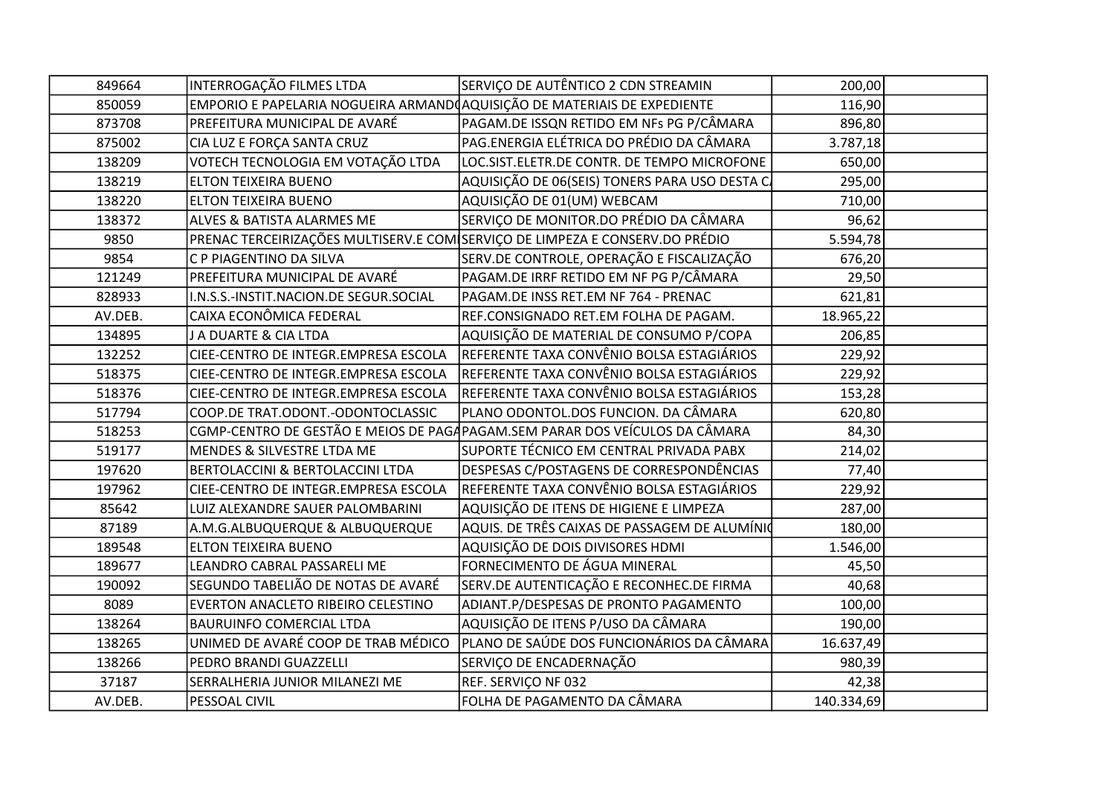| 849664  | INTERROGAÇÃO FILMES LTDA                                                 | SERVIÇO DE AUTÊNTICO 2 CDN STREAMIN                                          | 200,00     |  |
|---------|--------------------------------------------------------------------------|------------------------------------------------------------------------------|------------|--|
| 850059  | EMPORIO E PAPELARIA NOGUEIRA ARMAND AQUISIÇÃO DE MATERIAIS DE EXPEDIENTE |                                                                              | 116,90     |  |
| 873708  | PREFEITURA MUNICIPAL DE AVARÉ                                            | PAGAM.DE ISSQN RETIDO EM NFs PG P/CÂMARA                                     | 896,80     |  |
| 875002  | CIA LUZ E FORÇA SANTA CRUZ                                               | PAG.ENERGIA ELÉTRICA DO PRÉDIO DA CÂMARA                                     | 3.787,18   |  |
| 138209  | VOTECH TECNOLOGIA EM VOTAÇÃO LTDA                                        | LOC.SIST.ELETR.DE CONTR. DE TEMPO MICROFONE                                  | 650,00     |  |
| 138219  | ELTON TEIXEIRA BUENO                                                     | AQUISIÇÃO DE 06(SEIS) TONERS PARA USO DESTA C                                | 295,00     |  |
| 138220  | <b>ELTON TEIXEIRA BUENO</b>                                              | AQUISIÇÃO DE 01(UM) WEBCAM                                                   | 710,00     |  |
| 138372  | ALVES & BATISTA ALARMES ME                                               | SERVIÇO DE MONITOR.DO PRÉDIO DA CÂMARA                                       | 96,62      |  |
| 9850    |                                                                          | PRENAC TERCEIRIZAÇÕES MULTISERV.E COM SERVIÇO DE LIMPEZA E CONSERV.DO PRÉDIO | 5.594,78   |  |
| 9854    | C P PIAGENTINO DA SILVA                                                  | SERV.DE CONTROLE, OPERAÇÃO E FISCALIZAÇÃO                                    | 676,20     |  |
| 121249  | PREFEITURA MUNICIPAL DE AVARÉ                                            | PAGAM.DE IRRF RETIDO EM NF PG P/CÂMARA                                       | 29,50      |  |
| 828933  | I.N.S.S.-INSTIT.NACION.DE SEGUR.SOCIAL                                   | PAGAM.DE INSS RET.EM NF 764 - PRENAC                                         | 621,81     |  |
| AV.DEB. | CAIXA ECONÔMICA FEDERAL                                                  | REF.CONSIGNADO RET.EM FOLHA DE PAGAM.                                        | 18.965,22  |  |
| 134895  | J A DUARTE & CIA LTDA                                                    | AQUISIÇÃO DE MATERIAL DE CONSUMO P/COPA                                      | 206,85     |  |
| 132252  | CIEE-CENTRO DE INTEGR.EMPRESA ESCOLA                                     | REFERENTE TAXA CONVÊNIO BOLSA ESTAGIÁRIOS                                    | 229,92     |  |
| 518375  | CIEE-CENTRO DE INTEGR.EMPRESA ESCOLA                                     | REFERENTE TAXA CONVÊNIO BOLSA ESTAGIÁRIOS                                    | 229,92     |  |
| 518376  | CIEE-CENTRO DE INTEGR.EMPRESA ESCOLA                                     | REFERENTE TAXA CONVÊNIO BOLSA ESTAGIÁRIOS                                    | 153,28     |  |
| 517794  | COOP.DE TRAT.ODONT.-ODONTOCLASSIC                                        | PLANO ODONTOL.DOS FUNCION. DA CÂMARA                                         | 620,80     |  |
| 518253  |                                                                          | CGMP-CENTRO DE GESTÃO E MEIOS DE PAGAPAGAM.SEM PARAR DOS VEÍCULOS DA CÂMARA  | 84,30      |  |
| 519177  | MENDES & SILVESTRE LTDA ME                                               | SUPORTE TÉCNICO EM CENTRAL PRIVADA PABX                                      | 214,02     |  |
| 197620  | BERTOLACCINI & BERTOLACCINI LTDA                                         | DESPESAS C/POSTAGENS DE CORRESPONDÊNCIAS                                     | 77,40      |  |
| 197962  | CIEE-CENTRO DE INTEGR.EMPRESA ESCOLA                                     | REFERENTE TAXA CONVÊNIO BOLSA ESTAGIÁRIOS                                    | 229,92     |  |
| 85642   | LUIZ ALEXANDRE SAUER PALOMBARINI                                         | AQUISIÇÃO DE ITENS DE HIGIENE E LIMPEZA                                      | 287,00     |  |
| 87189   | A.M.G.ALBUQUERQUE & ALBUQUERQUE                                          | AQUIS. DE TRÊS CAIXAS DE PASSAGEM DE ALUMÍNIO                                | 180,00     |  |
| 189548  | ELTON TEIXEIRA BUENO                                                     | AQUISIÇÃO DE DOIS DIVISORES HDMI                                             | 1.546,00   |  |
| 189677  | LEANDRO CABRAL PASSARELI ME                                              | FORNECIMENTO DE ÁGUA MINERAL                                                 | 45,50      |  |
| 190092  | SEGUNDO TABELIÃO DE NOTAS DE AVARÉ                                       | SERV.DE AUTENTICAÇÃO E RECONHEC.DE FIRMA                                     | 40,68      |  |
| 8089    | EVERTON ANACLETO RIBEIRO CELESTINO                                       | ADIANT.P/DESPESAS DE PRONTO PAGAMENTO                                        | 100,00     |  |
| 138264  | <b>BAURUINFO COMERCIAL LTDA</b>                                          | AQUISIÇÃO DE ITENS P/USO DA CÂMARA                                           | 190,00     |  |
| 138265  | UNIMED DE AVARÉ COOP DE TRAB MÉDICO                                      | PLANO DE SAÚDE DOS FUNCIONÁRIOS DA CÂMARA                                    | 16.637,49  |  |
| 138266  | PEDRO BRANDI GUAZZELLI                                                   | SERVIÇO DE ENCADERNAÇÃO                                                      | 980,39     |  |
| 37187   | SERRALHERIA JUNIOR MILANEZI ME                                           | REF. SERVIÇO NF 032                                                          | 42,38      |  |
| AV.DEB. | PESSOAL CIVIL                                                            | FOLHA DE PAGAMENTO DA CÂMARA                                                 | 140.334,69 |  |